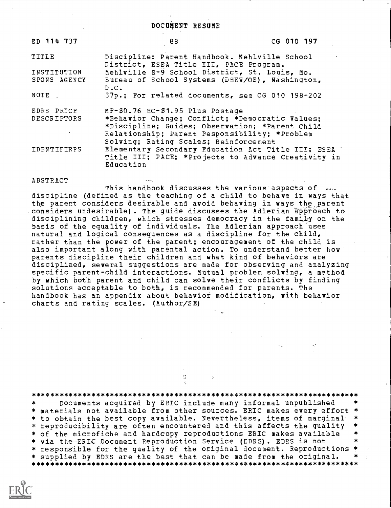| ED 114 737                  | 88                                                                                                                                                                                                                               | CG 010 197 |
|-----------------------------|----------------------------------------------------------------------------------------------------------------------------------------------------------------------------------------------------------------------------------|------------|
| <b>TITLE</b>                | Discipline: Parent Handbook. Mehlville School<br>District, ESEA Title III, PACE Program.                                                                                                                                         |            |
| INSTITUTION<br>SPONS AGENCY | Mehlville R-9 School District, St. Louis, Mo.<br>Bureau of School Systems (DHEW/OE), Washington,<br>D.C.                                                                                                                         |            |
| NOTE .                      | 37p.; For related documents, see CG 010 198-202                                                                                                                                                                                  |            |
| EDRS PRICE<br>DESCRIPTORS   | MF-\$0.76 HC-\$1.95 Plus Postage<br>*Behavior Change; Conflict; *Democratic Values;<br>*Discipline; Guides; Observation; *Parent Child<br>Relationship; Parent Pesponsibility; *Problem<br>Solving; Rating Scales; Reinforcement |            |
| <b>IDENTIFIEFS</b>          | Elementary Secondary Education Act Title III; ESEA<br>Title III; PACE; *Projects to Advance Creativity in<br>Education                                                                                                           |            |

 $22.5$ 

#### ABSTRACT

This handbook discusses the various aspects of  $\ldots$ <br>discipline (defined as the teaching of a child to behave in ways that the parent considers desirable and avoid behaving in ways the parent considers undesirable). The guide discusses the Adlerian approach to disciplining children, which stresses democracy in the family on the basis of the equality of individuals. The Adlerian approach uses natural and logical consequences as a discipline for the child, rather than the power of the parent; encouragement of the child is also important along with parental action. To understand better how parents discipline their children and what kind of behaviors are disciplined, several suggestions are made for observing and analyzing specific parent-child interactions. Mutual problem solving, a method by which both parent and child can solve their conflicts by finding solutions acceptable to both, is recommended for parents. The handbook has an appendix about behavior modification, with behavior charts and rating scales. (Author/SE)

\*\*\*\*\*\*\*\*\*\*\*\*\*\*\*\*\*\*\*\*\*\*\*\*\*\*\*\*\*\*\*\*\*\*\*\*\*\*\*\*\*\*\*\*\*\*\*\*\*\*\*\*\*\*\*\*\*\*\*\*\*\*\*\*\*\*\*\*\*\*\* Documents acquired by ERIC include many informal unpublished \* materials not available from other sources. ERIC makes every effort \* \* to obtain the best copy available. Nevertheless, items of marginal-<br>\* reproducibility are often encountered and this affects the quality \* of the microfiche and hardcopy reproductions ERIC makes available \* via the ERIC Document Reproduction Service (EDRS). EDRS is not \* responsible for the quality of the original document. Reproductions<br>\* supplied by EDRS are the best that can be made from the original. \* supplied by EDRS are the best that can bey made from the original. \*\*\*\*\*\*\*\*\*\*\*\*\*\*\*\*\*\*\*\*\*\*\*\*\*\*\*\*\*\*\*\*\*\*\*\*\*\*\*\*\*\*\*\*\*\*\*\*\*\*\*\*\*\*\*\*\*\*\*\*\*\*\*\*\*\*\*\*\*\*

Ķ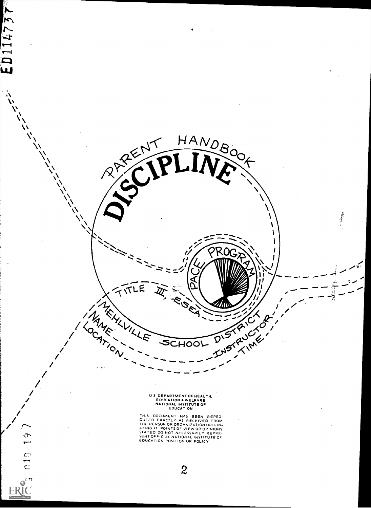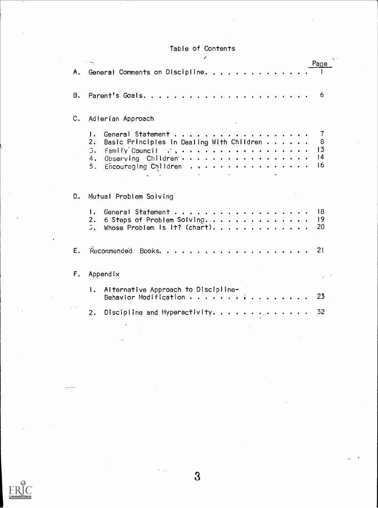# Table of Contents  $\mathcal{S}$

|    | Page<br><b>All Calgary</b><br>A. General Comments on Discipline                                                                                                                                                                                                                                                                                                                                                                    |  |  |  |  |  |
|----|------------------------------------------------------------------------------------------------------------------------------------------------------------------------------------------------------------------------------------------------------------------------------------------------------------------------------------------------------------------------------------------------------------------------------------|--|--|--|--|--|
| B. | -6                                                                                                                                                                                                                                                                                                                                                                                                                                 |  |  |  |  |  |
| c. | Adlerian Approach                                                                                                                                                                                                                                                                                                                                                                                                                  |  |  |  |  |  |
|    | General Statement<br>$\mathsf{L}$<br>Basic Principles in Dealing With Children<br>2.<br>8<br>13<br>Family Council and a series of the series of the series of the series of the series of the series of the series of the series of the series of the series of the series of the series of the series of the series of the serie<br>$\overline{\mathcal{L}}$ .<br> 4<br>Observing Children<br>4.<br>16<br>5. Encouraging Children |  |  |  |  |  |
| D. | Mutual Problem Solving                                                                                                                                                                                                                                                                                                                                                                                                             |  |  |  |  |  |
|    | General Statement<br>-18<br>Ι.<br>6 Steps of Problem Solving<br> 9<br>2.<br>20<br>5.<br>Whose Problem Is It? (chart).                                                                                                                                                                                                                                                                                                              |  |  |  |  |  |
| Ε. | 21                                                                                                                                                                                                                                                                                                                                                                                                                                 |  |  |  |  |  |
| F. | Appendix                                                                                                                                                                                                                                                                                                                                                                                                                           |  |  |  |  |  |
|    | Alternative Approach to Discipline-<br>Ι.<br>23<br>Behavior Modification                                                                                                                                                                                                                                                                                                                                                           |  |  |  |  |  |
|    | Discipline and Hyperactivity.<br>32<br>2.                                                                                                                                                                                                                                                                                                                                                                                          |  |  |  |  |  |



 $\overline{3}$ 

 $\sim$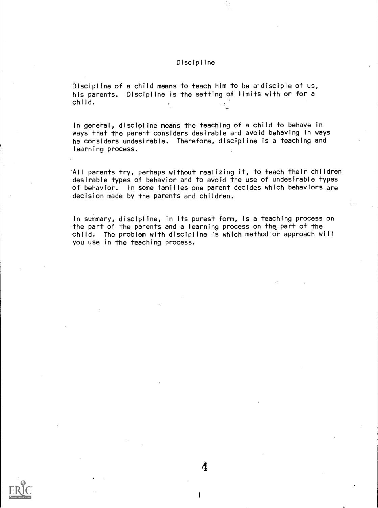# Discipline

 $Discript$  ine of a child means to teach him to be a disciple of us, his parents. Discipline is the setting of limits with or for a child.

In general, discipline means the teaching of a child to behave in ways that the parent considers desirable and avoid behaving in ways he considers undesirable. Therefore, discipline is a teaching and learning process.

All parents try, perhaps without realizing it, to teach their children desirable types of behavior and to avoid the use of undesirable types of behavior. In some families one parent decides which behaviors are decision made by the parents and children.

In summary, discipline, in its purest form, is a teaching process on the part of the parents and a learning process on the. part of the child. The problem with discipline is which method or approach will you use in the teaching process.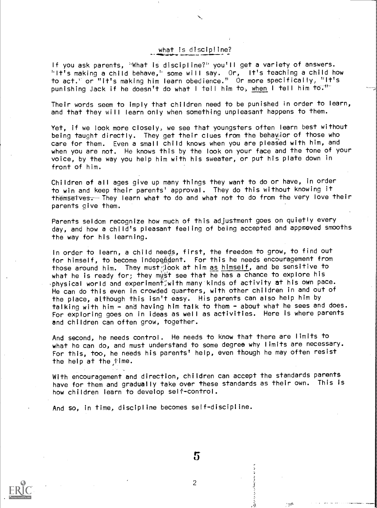# what is discipline?

If you ask parents, "What is discipline?" you'll get a variety of answers. 'It's making a child behave,'' some will say. Or, It's teaching a child how to act." or "it's making him learn obedience." Or more specifically, "It's punishing Jack if he doesn't do what I tell him to, when I tell him to."<sup>11-</sup>

 $\sum_{i=1}^n \frac{1}{i!} \sum_{j=1}^n \frac{1}{j!} \sum_{j=1}^n \frac{1}{j!} \sum_{j=1}^n \frac{1}{j!} \sum_{j=1}^n \frac{1}{j!} \sum_{j=1}^n \frac{1}{j!} \sum_{j=1}^n \frac{1}{j!} \sum_{j=1}^n \frac{1}{j!} \sum_{j=1}^n \frac{1}{j!} \sum_{j=1}^n \frac{1}{j!} \sum_{j=1}^n \frac{1}{j!} \sum_{j=1}^n \frac{1}{j!} \sum_{j=1}^n \frac{1}{j!$ 

Their words seem to imply that children need to be punished in order to learn, and that they will learn only when something unpleasant happens to them.

Yet, if we look more closely, we see that youngsters often learn best without being taught directly. They get their clues from the behayior of those who care for them. Even a small child knows when you are pleased with him, and when you are not. He knows this by the look on your face and the tone of your voice, by the way you help him with his sweater, or put his plate down in front of him.

Children of all ages give up many things they want to do or have, in order to win and keep their parents' approval. They do this without knowing it themsetves. They learn what to do and what not to do from the very love their parents give them.

Parents seldom recognize how much of this adjustment goes on quietly every day, and how a child's pleasant feeling of being accepted and approved smooths the way for his learning.

In order to learn, a child needs, first, the freedom to grow, to find out for himself, to become independent. For this he needs encouragement from those around him. They must  $\beta$  ook at him as himself, and be sensitive to what he is ready for; they must see that he has a chance to explore his  $\cdot$ physical world and experiment $\H$ with many kinds of activity at his own pace. He can do this even in crowded quarters, with other children in and out of the place, although this isn't easy. His parents can also help him by talking with him  $\div$  and having him talk to them  $\div$  about what he sees and does. For exploring goes on in ideas as well as activities. Here is where parents and children can often grow, together.

And second, he needs control. He needs to know that there are limits to what he can do, and must understand to some degree why limits are necessary. For this, too, he needs his parents' help, even though he may often resist the help at the fime.

With encouragement and direction, children can accept the standards parents have for them and gradually take over these standards as their own. This is how children learn to develop self-control.

And So, in time, discipline becomes self-discipline.



 $5\,$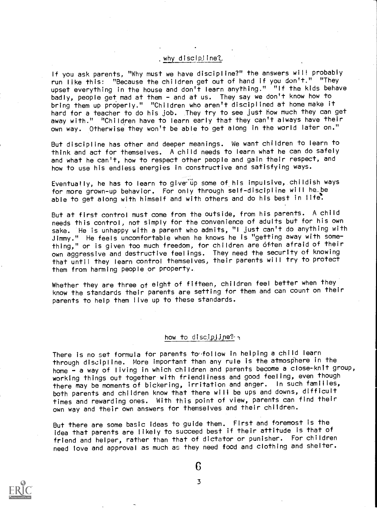# , why discipline?

If you ask parents, "Why must we have discipline?" the answers will probably run like this: "Because the children get out of hand if you don't." "They upset everything in the house and don't learn anything." "If the kids behave badly, people get mad at them - and at us. They say we don't know how to bring them up properly." "Children who aren't disciplined at home make it hard for a teacher to do his job. They try to see just how much they can get away with." "Children have to learn early that they can't always have their own way. Otherwise they won't be able to get along in the world later on."

But discipline has other and deeper meanings. We want children to learn to think and act for themselves. A child needs to learn what he can do safely and what he can't, how to respect other people and gain their respect, and how to use his endless energies in constructive and satisfying ways.

Eventually, he has to learn to give up some of his impulsive, childish ways for more grown-up behavior. For only through self-discipline will he be able to get along with himself and with others and do his best in life.

But at first control must come from the outside, from his parents. A child needs this control, not simply for the convenience of adults but for his own sake. He is unhappy with a parent who admits, "I just can't do anything with Jimmy." He feels uncomfortable when he knows he is "getting away with something," or is given too much freedom, for children are often afraid of their own aggressive and destructive feelings. They need the security of knowing that until they learn control themselves, their parents will try to protect them from harming people or property.

Whether they are three of eight of fifteen, children feel better when they know the standards their parents are setting for them and can count on their parents to help them live up to these standards.

## how to discipline?  $\cdot$

There is no set formula for parents to follow in helping a child learn through discipline. More important than any rule is the atmosphere in the home - a way of living in which children and parents become a close-knit group, working things out together with friendliness and good feeling, even though there may be moments of bickering, irritation and anger. In such families, both parents and children know that there will be ups and downs, difficult times and rewarding ones. With this point of view, parents can find their own way and their own answers for themselves and their children.

But there are some basic ideas to guide them. First and foremost is the idea that parents are likely to succeed best if their attitude is that of friend and helper, rather than that of dictator or punisher. For children need love and approval as much ac they need food and clothing and shelter.



6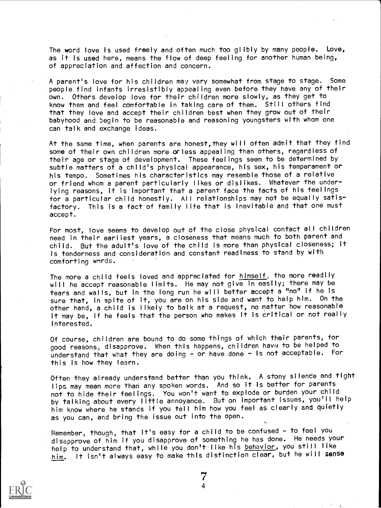The word love is used freely and often much too glibly by many people. Love, as it is used here, means the flow of deep feeling for another human being, of appreciation and affection and concern.

A parent's love for his children may vary somewhat from stage to stage. Some people find infants irresistibly appealing even before they have any of their own. Others develop love for their children more slowly, as they get to know them and feel comfortable in taking care of them. Still others find that they love and accept their children best when they grow out of their babyhood and begin to be reasonable and reasoning youngsters with whom one can talk and exchange ideas.

At the same time, when parents are honest, they will often admit that they find some of their own children more orless appealing than others, regardless of their age or stage of development. These feelings seem to be determined by subtle matters of a child's physical appearance, his sex, his temperament or his tempo. Sometimes his characteristics may resemble those of a relative or friend whom a parent particularly likes or dislikes. Whatever the underlying reasons, it is important that a parent face the facts of his feelings for a particular child honestly. All relationships may not be equally satisfactory. This is a fact of family life that is inevitable and that one must accept.

For most, love seems to develop out of the close physical contact all children need in their earliest years, a closeness that means much to both parent and child. But the adult's love of the child is more than physical closeness; it is tenderness and consideration and constant readiness to stand by with comforting wards.

The more a child feels loved and appreciated for himself, the more readily will he accept reasonable limits. He may not give in easily; there may be tears and wails, but in the long run he will better accept a "no" if he is sure that, in spite of it, you are on his side and want to help him. On the other hand, a child is likely to balk at a request, no matter how reasonable it may be, if he feels that the person who makes it is critical or not really interested.

Of course, children are bound to do some things of which their parents, for good reasons, disapprove. When this happens, children have; to be helped to understand that what they are doing - or have done - is not acceptable. For this is how they learn.

Often they already understand better than you think. A stony silence and tight lips may mean more than any spoken words. And so it is better for parents not to hide their feelings. You won't want to explode or burden your child by talking about every little annoyance. But on important issues, you'll help him know where he stands if you tell him how you feel as clearly and quietly as you can, and bring the issue out into the open.

Remember, though, that it's easy for a child to be confused - to feel you disapprove of him if you disapprove of something he has done. He needs your help to understand that, while you don't like his behavior, you still like him. It isn't always easy to make this distinction clear, but he will sense

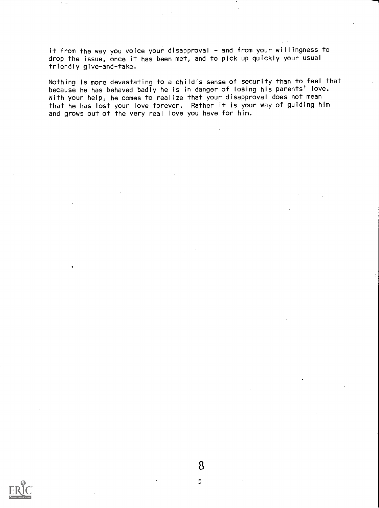it from the way you voice your disapproval - and from your willingness to drop the issue, once it has been met, and to pick up quickly your usual friendly give-and-take.

Nothing is more devastating to a child's sense of security than to feel that because he has behaved badly he is in danger of losing his parents' love. With your help, he comes to realize that your disapproval does not mean that he has lost your love forever. Rather it is your way of guiding him and grows out of the very real love you have for him.

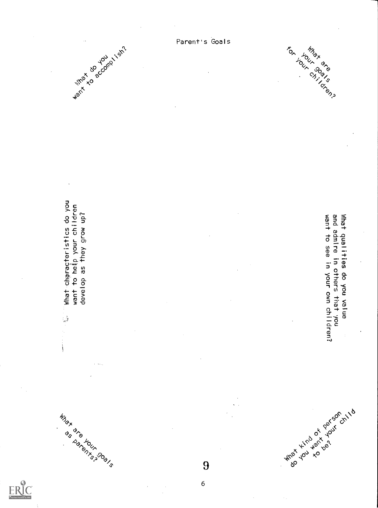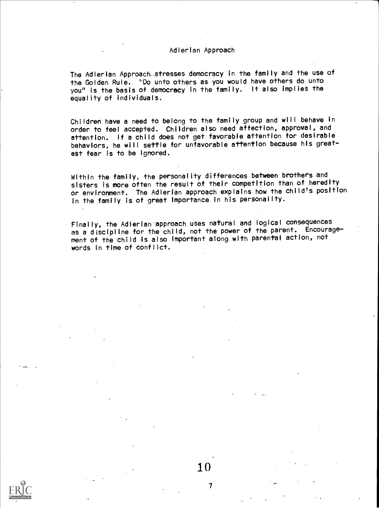# Adlerian Approach

The Adlerian Approach stresses democracy in the family and the use of the Golden Rule. ''Do unto others as you would have others do unto you" is the basis of democracy in the family. It also implies the equality of individuals.

Children have a need to belong to the family group and will behave in order to feel accepted. Children also need affection, approval, and attention. If a child does not get favorable attention for desirable behaviors, he will settle for unfavorable attention because his greatest fear is to be ignored.

Within the family, the personality differences between brothers and sisters is more often the result of their competition than of heredity or environment. The Adlerian approach explains how the child's position in the family is of great importance in his personality.

Finally, the Adlerian'approach uses natural and logical consequences as a discipline for the child, not the power of the parent. Encouragement of the child is also important along with parental action, not words in time of conflict.

10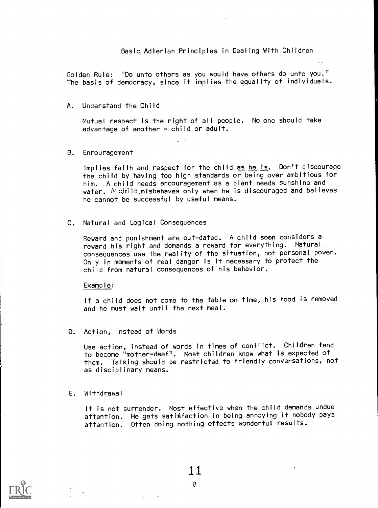# Basic. Adlerian Principles in Dealing With Children

Golden Rule: "Do unto others as you would have others do unto you." The basis of democracy, since it implies the equality of individuals.

A. Understand the Child

Mutual respect is the right of all people. No one should take advantage of another - child or adult.

B. Enrouragement

Implies faith and respect for the child as he is. Don't discourage the child by having too high standards or being over ambitious for him. A child needs encouragement as a plant needs sunshine and water. A child misbehaves only when he is discouraged and believes he cannot be successful by useful means.

C. Natural and logical Consequences

Reward and punishment are out-dated. A child soon considers a reward his right and demands a reward for everything. Natural. consequences use the reality of the situation, not personal power. Only in moments of real danger is it necessary to protect the child from natural consequences of his behavior.

Example:

If a child does not come to the table on time, his food is removed and he must wait until the next meal.

D. Action, Instead of Words

Use action, instead of words in times of conflict. Children tend to become "mother-deaf". Most children know what is expected of them. Talking should be restricted to friendly conversations, not as disciplinary means.

# E. Withdrawal

It is not surrender. Most effective when the child demands undue attention. He gets satisfaction in being annoying if nobody pays attention. Often doing nothing effects wonderful results.



1.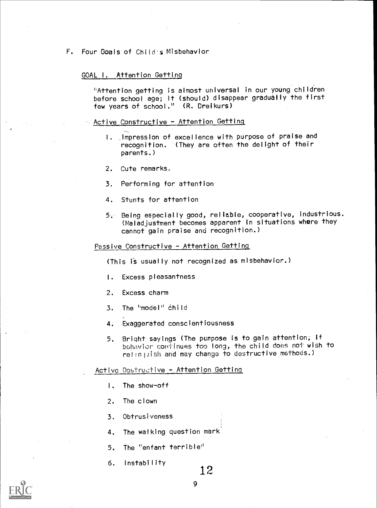F. Four Goals of Child's Misbehavior

# GOAL I. Attention Getting

"Attention getting is almost universal in our young children before school age; It (should) disappear gradually the first few years of school." (R. Dreikurs)

# $\sim$  Active Constructive - Attention Getting

- I. Impression of excellence with purpose of praise and recognition. (They are often the delight of their parents.)
- 2. Cute remarks.
- 3. Performing for attention
- 4. Stunts for attention
- 5. Being especially good, reliable, cooperative, industrious. (Maladjustment becomes apparent in situations where they cannot gain praise and recognition.)

# Passive Constructive - Attention Getting

(This is usually not recognized as misbehavior.)

- I. Excess pleasantness
- 2. Excess charm
- 3. The 'model" child
- 4. Exaggerated conscientiousness
- 5. Bright-sayings (The purpose is to gain attention; if bohavior continues too long, the child does not wish to relinitish and may change to destructive methods.)

# Active Dostructive - Attention Getting

- I. The show-off
- 2. The clown
- 3. Obtrusiveness
- 4. The walking question mark
- 5. The "enfant terrible'
- 6. Instability  $12$

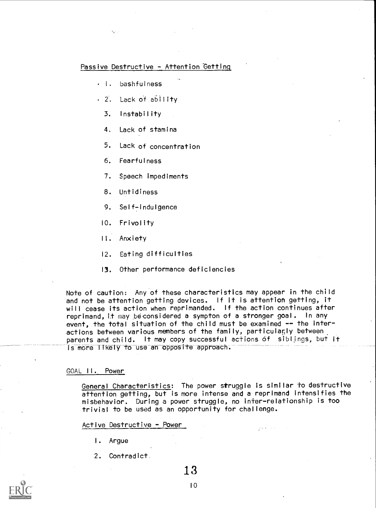# Passive Destructive - Attention Getting

- I. bashfulness
- 2. Lack of ability
	- 3. Instability
	- 4. Lack of stamina
	- 5. Lack of concentration
	- 6. Fearfulness
	- 7. Speech impediments
	- 8. Untidiness
	- 9. Self- indulgence
	- 10. Frivolity
	- II. Anxiety
	- 12. Eating difficulties
	- 13. Other performance deficiencies

Note of caution: Any of these characteristics may appear in the child and not be attention getting devices. If it is attention getting, it will cease its action when reprimanded. If the action continues after reprimand, it may be considered a sympton of a stronger goal. In any event, the total situation of the child must be examined -- the interactions between various members of the family, particularly between parents and child. It may copy successful actions of siblings, but it is more likely to use an opposite approach.

#### GOAL 11. Power

General Characteristics: The power struggle is similar to destructive attention getting, but is more intense and a reprimand intensifies the misbehavior. During a power struggle, no inter-relationship is too trivial to be used as an opportunity for challenge.

geven the con-

#### Active Destructive - Power

- I. Argue
- 2. Contradict.

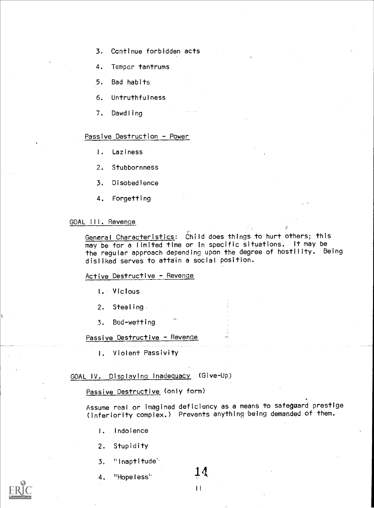- 3. Continue forbidden acts
- 4. Temper tantrums
- 5. Bad habits
- 6. Untruthfulness
- 7. Dawdling

# Passive Destruction - Power

- I. Laziness
- 2. Stubbornness
- 3. Disobedience
- 4. Forgetting

# GOAL III. Revenge

General Characteristics: Child does things to hurt others; this may be for a limited time or in specific situations. It may be the regular approach depending upon the degree of hostility. Being disliked serves to attain a social position.

# Active Destructive - Revenge

- I. Vicious
- 2. Stealing
- 3. Bed-wetting

# Passive Destructive - Revenge

I. Violent Passivity

GOAL IV. Displaying Inadequacy (Give-Up)

Passive Destructive (only form)

Assume real or imagined deficiency as a means to safeguard prestige (inferiority complex.) Prevents anything being demanded of them.

- 1. Indolence
- 2. Stupidity
- 3. "Inaptitude'
- 4. "Hopeless"  $14$

 $\overline{1}$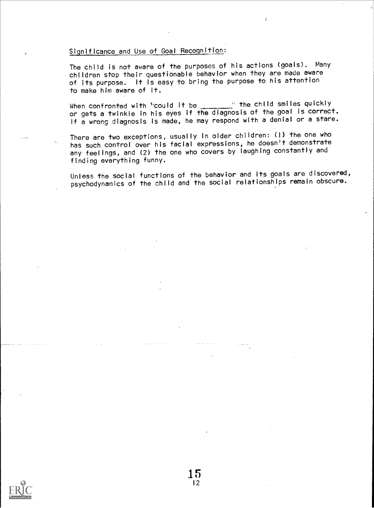# Significance and Use of Goal Recognition:

The child is not aware of the purposes of his actions (goals). Many children stop their questionable behavior when they are made aware of its purpose. It is easy to bring the purpose to his attention to make him aware of it.

When confronted with "could it be  $\frac{1}{\sqrt{2}}$ " the child smiles quickly or gets a twinkle in his eyes if the diagnosis of the goal is correct. If a wrong diagnosis is made, he may respond with a denial or a stare.

There are two exceptions, usually in older children: (I) the one who has such control over his facial expressions, he doesn't demonstrate any feelings, and (2) the one who covers by laughing constantly and finding everything funny.

> 15 12

Unless the social functions of the behavior and its goals are discovered, psychodynamics of the child and the social relationships remain obscure.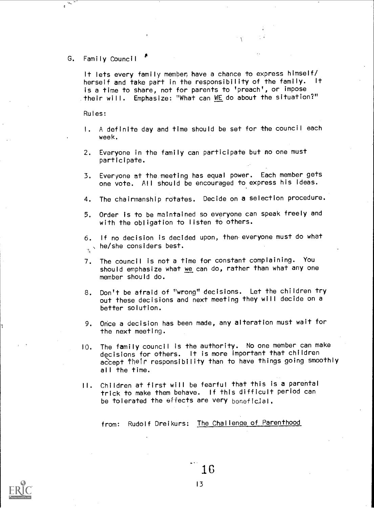G. Family Council

 $\phi$ 

It lets every family member have a chance to express himself/ herself and take part in the responsibility of the family. is a time to share, not for parents to 'preach', or impose their will. Emphasize: "What can WE do about the situation?"

Rules:

- I. A definite day and time should be set for the council each week.
- 2. Everyone in the family can participate but no one must participate.
- 3. Everyone at the meeting has equal power. Each member gets one vote. All should be encouraged to express his ideas.
- 4. The chairmanship rotates. Decide on a selection procedure.
- 5. Order is to be maintained so everyone can speak freely and with the obligation to listen to others.
- 6. If no decision is decided upon, then everyone must do what  $\frac{1}{2}$ , he/she considers best.
- 7. The council is not a time for constant complaining. You should emphasize what we can do, rather than what any one member should do.
- 8. Don't be afraid of "wrong" decisions. Let the children try out these decisions and next meeting they will decide on a better solution.
- 9. Once a decision has been made, any alteration must wait for the next meeting.
- 10. The family council is the authority. No one member can make decisions for others. It is more important that children accept their responsibility than to have things going smoothly all the time.
- II. Children at first will be fearful that this is a parental trick to make them behave. If this difficult period can be tolerated the effects are very beneficial.

from: Rudolf Dreikurs: The Challenge of Parenthood

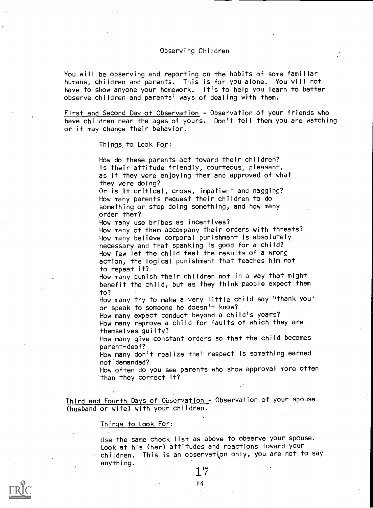#### Observing Children

You will be observing and reporting on the habits of some familiar humans, children and parents. This is for you alone. You will not have to show anyone your homework. It's to help you learn to better observe children and parents' ways of dealing with them.

First and Second Day of Observation - Observation of your friends who have children near the ages of yours. Don't tell them you are watching or it may change their behavior.

Things to Look For:

How do these parents act toward their children? Is their attitude friendly, courteous, pleasant, as if they were enjoying them and approved of what they were doing?

Or is it critical, cross, impatient and nagging? How many parents request their children to do something or stop doing something, and how many order them?

How many use bribes as incentives?

How many of them accompany their orders with threats? How many believe corporal punishment is absolutely necessary and that spanking is good for a child? How few let the child feel the results of a wrong action, the logical punishment that teaches him not to repeat it?

How many punish their children not in a way that might benefit the child, but as they think people expect them to?

How many try to make a very little child say "thank you" or speak to someone he doesn't know?

How many expect conduct beyond a child's years? How many reprove a child for faults of which they are themselves guilty?

How many give constant orders so that the child becomes parent-deaf?

How many don't realize that respect is something earned not demanded?

How often do you see parents who show approval more often than they correct it?

Third and Fourth Days of Observation - Observation of your spouse (husband or wife) with your children.

#### Things to Look For:

Use the same check list as above to observe your spouse. Look at his (her) attitudes and reactions toward your children. This is an observation only, you are not to say anything.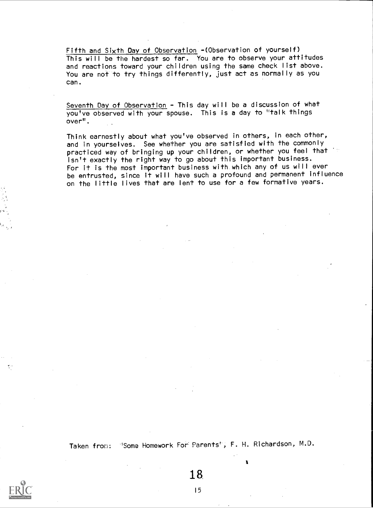Fifth and Sixth Day of Observation -(Observation of yourself) This will be the hardest so far. You are to observe your attitudes and reactions toward your children using the same check list above. You are not to try things differently, just act as normally as you can.

Seventh Day of Observation - This day will be a discussion of what you've observed with your spouse. This is a day to "talk things over".

Think earnestly about what you've observed in others, in each other, and in yourselves. See whether you are satisfied with the commonly practiced way of bringing up your children, or whether you feel that isn't exactly the right way to go about this important business. For it is the most important business with which any of us will ever be entrusted, since it will have such a profound and permanent influence on the little lives that are lent to use for a few formative years.



18.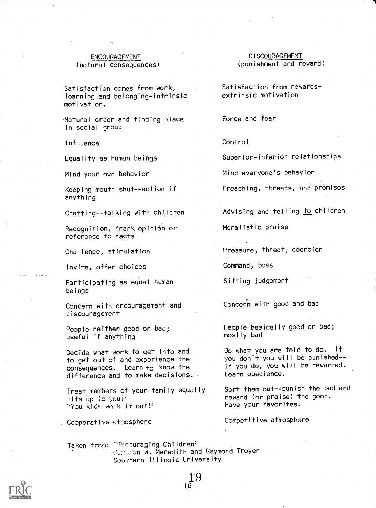# (natural consequences)

Satisfaction comes from work, learning and belonging-intrinsic motivation.

Natural order and finding place in social group

Influence

Equality as human beings

Mind your own behavior

Keeping mouth shut--action if anything

Chatting--talking with children

Recognition, frank opinión or reference to facts

Challenge, stimulation

Invite, offer choices

Participating as equal human beings

Concern with encouragement and discouragement

People neither good or bad; useful if anything

Decide what work to get into and to get out of and experience the consequences. Learn to know the difference and to make decisions..

Treat members of your family equally  $\sim$ Its up  $\sqrt[3]{\circ}$  you!' ''You kids woi k it out!'

. Cooperative atmosphere

ENCOURAGEMENT<br>
<u>DISCOURAGEMENT</u><br>
(
punishment and reward)

Satisfaction from rewardsextrinsic motivation

Force and fear

**Control** 

Superior-inferior relationships

Mind everyone's behavior

Preaching, threats, and promises

Advising and telling to children

Moralistic praise

Pressure, threat, coercion

Command, boss

Sitting judgement

Concern with good and bad

People basically good or bad; mostly bad

Do what you are told to do. If you don't you will be punished-if you do, you will be rewarded. Learn obedience.

Sort them out--punish the bad and reward (or praise) the good. Have your favorites.

Competitive atmosphere

Taken from: """ couraging Children" Comston W. Meredith and Raymond Troyer Southern Illinois University

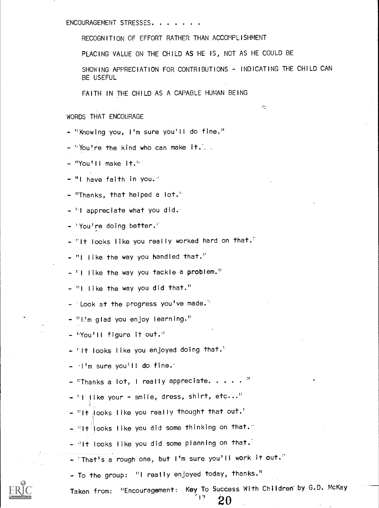ENCOURAGEMENT STRESSES

RECOGNITION OF EFFORT RATHER THAN ACCOMPLISHMENT

PLACING VALUE ON THE CHILD AS HE IS, NOT AS HE COULD BE

SHOWING APPRECIATION FOR CONTRIBUTIONS - INDICATING THE CHILD CAN BE USEFUL

Ċ.

÷,

FAITH IN THE CHILD AS A CAPABLE HUMAN BEING

# WORDS THAT ENCOURAGE

- "Knowing you, I'm sure you'll do fine."
- $-$  "You're the kind who can make it. .
- $-$  "You'll make it."
- $-$  "I have faith in you. $\cdot$
- "Thanks, that helped a lot.'
- $-$  "I appreciate what you did."
- 'You're doing better.'
- $\lceil$  It looks like you really worked hard on that.
- "I like the way you handled that."
- $\blacksquare$  I like the way you tackle a problem."
- $-$  "I like the way you did that."
- Look at the progress you've made.'
- "1.'m glad you enjoy learning."
- hYou'll figure it out."
- ' It looks like you enjoyed doing that.'
- $\cdot$  I'm sure you<sup>1</sup>ll do fine.
- $-$  "Thanks a lot, I really appreciate. . . . . "
- $\mathbb{I}$  like your smile, dress, shirt, etc..."
- $-$  "It  $_{\mathbb{C}}$ looks like you really thought that out.'
- $-$  "It looks like you did some thinking on that."
- $\frac{1}{2}$  It looks like you did some planning on that.
- 'That's a rough one, but I'm sure you'll work it out.''
- To the group: "I really enjoyed today, thanks."

Taken from: "Encouragement: Key To Success With Children' by G.D. McKay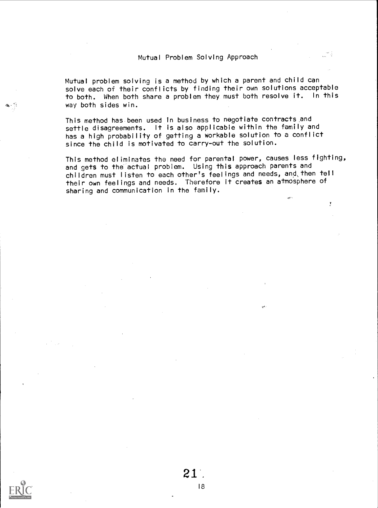# Mutual Problem Solving Approach

Mutual problem solving is a method by which a parent and child can solve each of their conflicts by finding their own solutions acceptable to both. When both share a problem they must both resolve it. In this way both sides win.

This method has been used in business to negotiate contracts and settle disagreements. It is also applicable within the family and has a high probability of getting a workable solution to a conflict since the child is motivated to carry-out the solution.

This method eliminates the need for parental power, causes less fighting, and gets to the actual problem. Using this approach parents and children must listen to each other's feelings and needs, and,then tell their own feelings and needs. Therefore it creates an atmosphere of sharing and communication in the family.

Ţ

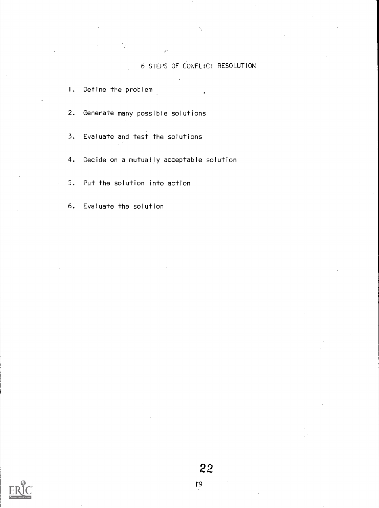# 6 STEPS OF CONFLICT RESOLUTION

I. Define the problem

2. Generate many possible solutions

3. Evaluate and test the solutions

4. Decide on a mutually acceptable solution

5. Put the solution into action

6. Evaluate the solution

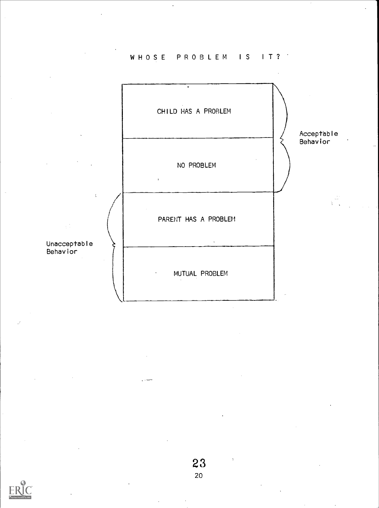WHOSE PROBLEM IS IT?



# 23

e chen

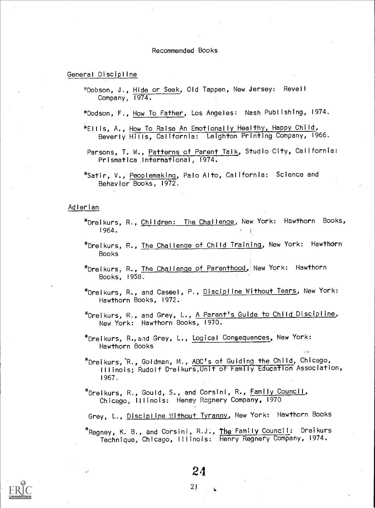#### Recommended Books

# General Discipline

\*Dobson, J., Hide or Seek, Old Tappen, New Jersey: Revell Company, 1974.

\*Dodson, F., How To Father, Los Angeles: Nash Publishing, 1974.

- \*Ellis, A., How To Raise An Emotionally Healthy, Happy Child, Beverly Hills, California: Leighton Printing Company, 1966.
- Parsons, T. W., <u>Patterns of Parent Talk</u>, Studio City, California: Prismatica International, 1974.
- \*Satir, V., Peoplemaking, Palo Alto, California: Science and Behavior Books, 1972.

# Adlerian

- \*Dreikurs, R., Children: The Challenge, New York: Hawthorn Books, 1964.
- \*Dreikurs, R., The Challenge of Child Training, New York: Hawthorn Books
- \*Dreikurs, R., The Challenge of Parenthood, New York: Hawthorn Books, 1958.
- \*Dreikurs, R., and Cassel, P., Discipline Without Tears, New York: Hawthorn Books, 1972.
- \*Dreikurs, R., and Grey, L., A Parent's Guide to Child Discipline, New York: Hawthorn Books, 1970.
- $*$ Dreikurs, R., and Grey, L., Logical Consequences, New York: Hawthorn Books
- \*Dreikurs,-R., Goldman, M., ABC's of Guiding the Child, Chicago, Illinois; Rudolf D-eikurs,Unit of Family Education Association, 1967
- \* Dreikurs, R., Gould, S., and Corsini, R., Family Council, Chicago, Illinois: Heney Regnery Company, 1970

Grey, L., Discipline Without Tyranny, New York: Hawthorn Books

\* Regney, K. B., and Corsini, R.J:, The Family Council: Dreikurs Technique, Chicago, Illinois: Henry Regnery Company, 1974.

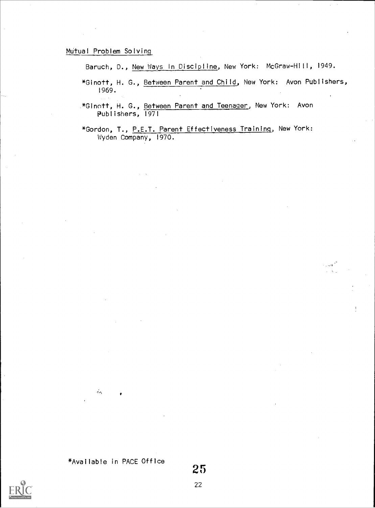# Mutual Problem Solving\_

Baruch, D., New Ways in Discipline, New York: McGraw-Hill, 1949.

\*Ginott, H. G., Between Parent and Child, New York: Avon Publishers, 1969.

د<br>آلاست -

\*Ginott, H. G., Between Parent and Teenager, New York: Avon Publishers, 1971

\*Gordon, T., P.E.T. Parent Effectiveness Training, New York: Wyden Company, 1970.



 $\mathcal{L}_{\mathcal{D}_{\mathbf{t}}}$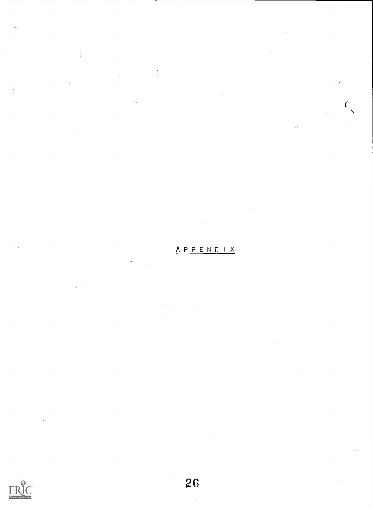# APPEND I <sup>X</sup>

N

 $\mathcal{C}_{\mathcal{C}}$ 

 $\lambda$ 



ţ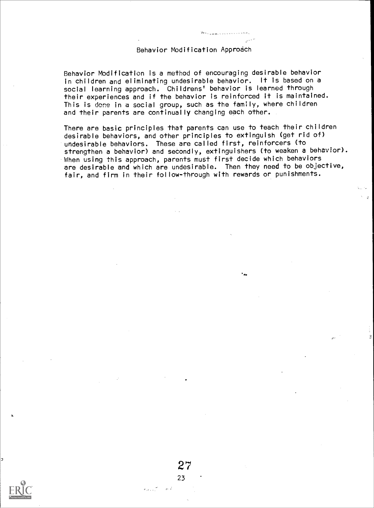# Behavior Modification Approach

Behavior Modification is a method of encouraging desirable behavior in children and eliminating undesirable behavior. It is based on a social learning approach. Childrens' behavior is learned through their experiences and if the behavior is reinforced it is maintained. This is done in a social group, such as the family, where children and their parents are continually changing each other.

There are basic principles that parents can use to teach their children desirable behaviors, and other principles to extinguish (get rid of) undesirable behaviors. These are called first, reinforcers (to strengthen a behavior) and secondly, extinguishers (to weaken a behavior). When using this approach, parents must first decide which behaviors are desirable and which are undesirable. Then they need to be objective, fair, and firm in their follow-through with rewards or punishments.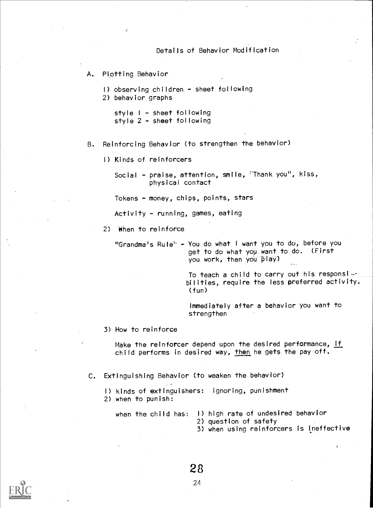# Details of Behavior Modification

A. Plotting Behavior

I) observing children - sheet following

2) behavior graphs

style I - sheet following style 2 - sheet following

- B. Reinforcing Behavior (to strengthen the behavior)
	- 1) Kinds of reinforcers

Social - praise, attention, smile, 'Thank you", kiss, physical contact

Tokens - money, chips, points, stars

Activity - running, games, eating

2) When to reinforce

'Grandma's Rule' - You do what <sup>I</sup> want you to do, before you get to do what you\_want to do. (First you work, then you play)

> To teach a child to carry out his responsibilities, require the less preferred activity. (fun)

Immediately after a behavior you want to strengthen

3) How to reinforce

Make the reinforcer depend upon the desired performance, if child performs in desired way, then he gets the pay off.

- C. Extinguishing Behavior (to weaken the behavior)
	- I) kinds of extinguishers: ignoring, punishment
	- 2) when to punish:

- when the child has: I) high rate of undesired behavior
	- 2) question of safety
	- 3) when using reinforcers is ineffective

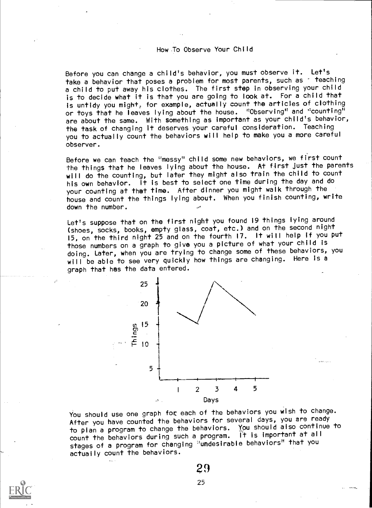# How To Observe Your Child

Before you can change a child's behavior, you must observe it. Let's take a behavior that poses a problem for most parents, such as teaching a child to put away his clothes. The first step in observing your child is to decide what it is that you are going to look at. For a child that is untidy you might, for example, actually count the articles of clothing or toys that he leaves lying about the house. "Observing" and "counting" are about the same. With something as important as your child's behavior, the task of changing it deserves your careful consideration. Teaching you to actually count the behaviors will help to make you a more careful observer.

Before we can teach the "messy" child some new behaviors, we first count the things that he leaves lying about the house. At first just the parents will do the counting, but later they might also train the child to count his own behavior. It is best to select one time during the day and do your counting at that time. After dinner you might walk through the house and count the things lying about. When you finish counting, write down the number.

Let's suppose that on the first night you found 19 things lying around (shoes, socks, books, empty glass, coat, etc.) and on the second night 15, on the third night 25 and on the fourth 17. It will help if you put those numbers on a graph to give you a picture of what your child is doing. Later, when you are trying to change some of these behaviors, you will be able to see very quickly how things are changing. Here is a graph that has the data entered.



You should use one graph for each of the behaviors you wish to change. After you have counted the behaviors for several days, you are ready to plan a program to change the behaviors. You should also continue to count the behaviors during such a program. It is important at all stages of a program for changing "undesirable behaviors" that you actually count the behaviors.

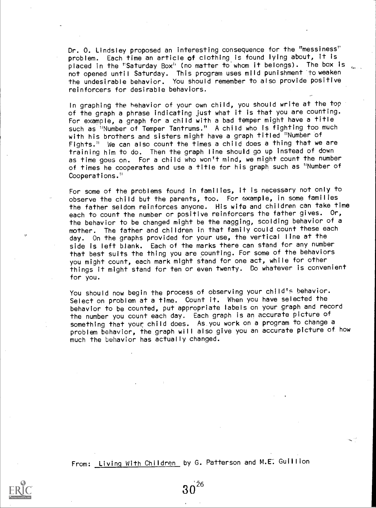Dr. O. Lindsley proposed an interesting consequence for the "messiness" problem. Each time an article of clothing is found lying about, it is placed in the "Saturday Box" (no matter to whom it belongs). The box is not opened until Saturday. This program uses mild punishment to weaken the undesirable behavior. You should remember to also provide positive reinforcers for desirable behaviors.

In graphing the behavior of your own child, you should write at the top of the graph a phrase indicating just what it is that you are counting. For example, a graph for a child with a bad temper might have a title such as "Number of Temper Tantrums." A child who is fighting too much with his brothers and sisters might have a graph titled "Number of Fights." We can also count the times a child does a thing that we are training him to do. Then the graph line should go up instead of down as time goes on. For a child who won't mind, we might count the number of times he cooperates and use a title for his graph such as "Number of Cooperations."

For some of the problems found in families, it is necessary not only to observe the child but the parents, too. For example, in some families the father seldom reinforces anyone. His wife and children can take time each to count the number or positive reinforcers the father gives. Or, the behavior to be changed might be the nagging, scolding behavior of a mother. The father and children in that family could count these each day. On the graphs provided for your use, the vertical line at the side is left blank. Each of the marks there can stand for any number that best suits the thing you are counting. For some of the behaviors you might count, each mark might stand for one act, while for other things it might stand for ten or even twenty. Do whatever is convenient for you.

You should now begin the process of observing your child's behavior. Select on problem at a time. Count it. When you have selected the behavior to be counted, put appropriate labels on your graph and record the number you count each day. Each graph is an accurate picture of something that your child does. As you work on a program to change a problem behavior, the graph will also give you an accurate picture of how much the behavior has actually changed.

From: Living With Children by G. Patterson and M.E. Guillion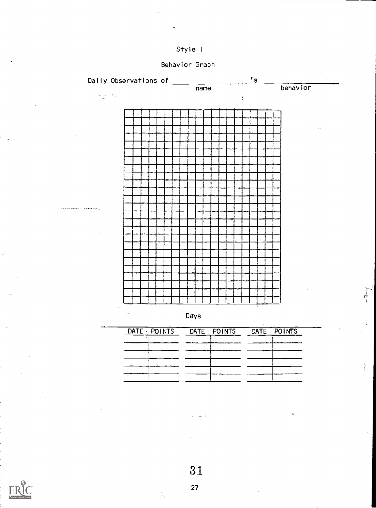

Behavior Graph





| DATE POINTS DATE POINTS DATE POINTS |  |
|-------------------------------------|--|
|                                     |  |
|                                     |  |
|                                     |  |
|                                     |  |
|                                     |  |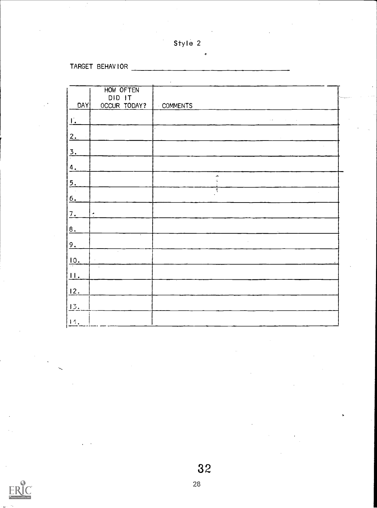| Style 2 |  |  |
|---------|--|--|
|---------|--|--|

TARGET BEHAVIOR

|                 | HOW OFTEN<br>DID IT |                       |  |
|-----------------|---------------------|-----------------------|--|
| DAY             | OCCUR TODAY?        | <b>COMMENTS</b>       |  |
| <u>F</u> .      |                     | $\sim 2$<br>$\bar{z}$ |  |
| 2.              |                     | $\alpha$              |  |
| $\frac{3}{1}$   |                     |                       |  |
| $\frac{4}{1}$   |                     |                       |  |
| 5.              |                     | J.                    |  |
| 6.              |                     | ÷                     |  |
| 7.              | $\bullet$           |                       |  |
| 8.              |                     |                       |  |
| 9.              |                     |                       |  |
| $\frac{10}{10}$ |                     |                       |  |
| $\perp$ .       | $\bar{\nu}$ .       |                       |  |
| 12.             |                     |                       |  |
| 13.             |                     |                       |  |
| 14.             |                     |                       |  |

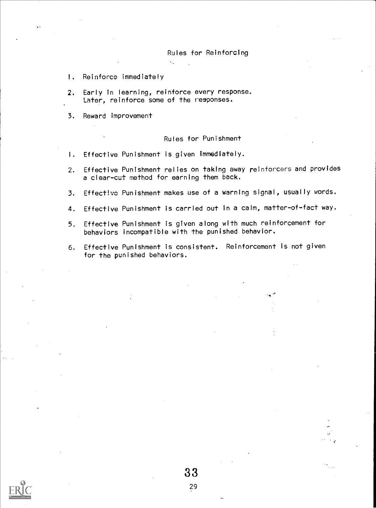# Rules for Reinforcing

- !. Reinforce immediately
- 2. Early in learning, reinforce every response. Later, reinforce some of the responses.

 $\mathcal{L}_{\infty}$ 

3. Reward improvement

# Rules for Punishment

- I. Effective Punishment is given immediately.
- 2. Effective Punishment relies on taking away reinforcers and provides a clear-cut method for earning them back.
- 3. Effective Punishment makes use of a warning signal, usually words.
- 4. Effective Punishment is carried out in a calm, matter-of-fact way.
- 5. Effective Punishment is given along with much reinforcement for behaviors incompatible with the punished behavior.
- 6. Effective Punishment is consistent. Reinforcement is not given for the punished behaviors.

33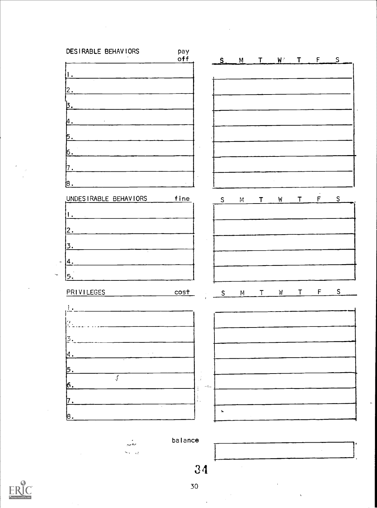

balance

 $\sim$ 

 $\zeta_{\rm{max}} = 1.3$ 



30

34

 $\bar{\alpha}$ 

 $\bar{\bar{z}}$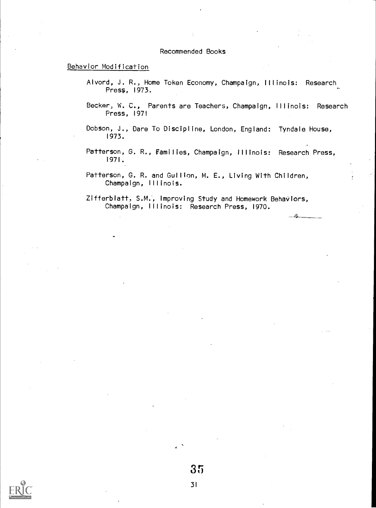# Recommended Books

# Behavior Modification

- Alvord, J. R., Home Token Economy, Champaign, Illinois: Research Press, 1973.
- Becker; W. C., Parents are Teachers, Champaign, Illinois: Research Press, 1971
- Dobson, J., Dare To Discipline, London, England: Tyndale House, 1973.
- Patterson, G. R., Families, Champaign, Illinois: Research Press, 1971.
- Patterson, G. R. and Gullion, M. E., Living With Children, Champaign, Illinois.

Zifferbiatt, S.M., Improving Study and Homework Behaviors, Champaign, Illinois: Research Press, 1970.

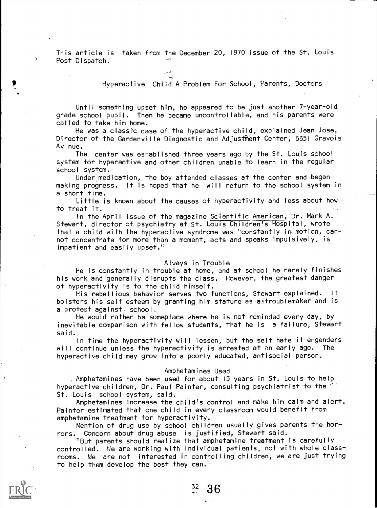This article is taken from the December 20, 1970 issue of the St. Louis Post Dispatch.

 $\sim$  . As in

# Hyperactive Child A Problem For School, Parents, Doctors

Until something upset him, he appeared to be just another 7-year-old grade school pupil. Then he became uncontrollable, and his parents were called to take him home.

He was a classic case of the hyperactive child, explained Jean Jose, Director of the Gardenville Diagnostic and Adjustment Center, 6651 Gravois Av nue.

The center was established three years ago by the St. Louis school system for hyperactive and other children unable to learn in the regular school system.

Under medication, the boy attended classes at the center and began making progress. It is hoped that he will return to the school system in a short time.

Little is known about the causes of hyperactivity and less about how to treat it.

In the April issue of the magazine Scientific American, Dr. Mark A. Stewart, director of psychiatry at St. Louis Children's Hospital, wrote that a child with the hyperactive syndrome was ''constantly in- motion, cannot concentrate for more than a moment, acts and speaks impulsively, is impatient and easily upset.''

#### Always in Trouble

He is constantly in trouble at home, and at school he rarely finishes his work and generally disrupts the class.. However, the greatest danger of hyperactivity is to the child himself.

His rebellious behavior serves two functions, Stewart explained. It bolsters his self esteem by granting him stature as atroublemaker and is a protest against. school.

He would rather be someplace where he is not reminded every day, by inevitable comparison with fellow students, that he is a failure, Stewart said.

In time the hyperactivity will lessen, but the self hate it engenders will continue unless the hyperactivity is arrested at an early age. The hyperactive child may grow into a poorly educated, antisocial person.

#### Amphetamines Used

Amphetamines have been used for about 15 years in St. Louis to help hyperactive children, Dr. Paul Painter, consulting psychiatrist to the St. Louis school system, said.

Amphetamines increase the child's control and make him calm and alert. Painter estimated that one child in every classroom would benefit from amphetamine treatment for hyperactivity.

Mention of drug use by school children usually gives parents the horrors. Concern about drug abuse is justified, Stewart said.

"But parents should realize that amphetamine treatment is carefully controlled. Vie are working with individual patients, not with whole classrooms. We are not interested in controlling children; we are just trying to help them develop the best they can.'



 $\mathbf{A}$